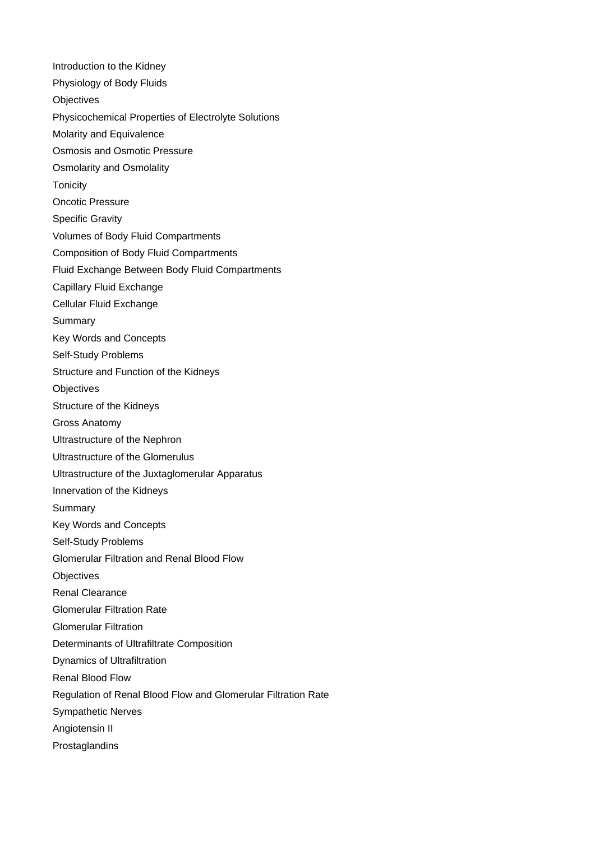Introduction to the Kidney Physiology of Body Fluids **Objectives** Physicochemical Properties of Electrolyte Solutions Molarity and Equivalence Osmosis and Osmotic Pressure Osmolarity and Osmolality **Tonicity** Oncotic Pressure Specific Gravity Volumes of Body Fluid Compartments Composition of Body Fluid Compartments Fluid Exchange Between Body Fluid Compartments Capillary Fluid Exchange Cellular Fluid Exchange **Summary** Key Words and Concepts Self-Study Problems Structure and Function of the Kidneys **Objectives** Structure of the Kidneys Gross Anatomy Ultrastructure of the Nephron Ultrastructure of the Glomerulus Ultrastructure of the Juxtaglomerular Apparatus Innervation of the Kidneys **Summary** Key Words and Concepts Self-Study Problems Glomerular Filtration and Renal Blood Flow **Objectives** Renal Clearance Glomerular Filtration Rate Glomerular Filtration Determinants of Ultrafiltrate Composition Dynamics of Ultrafiltration Renal Blood Flow Regulation of Renal Blood Flow and Glomerular Filtration Rate Sympathetic Nerves Angiotensin II Prostaglandins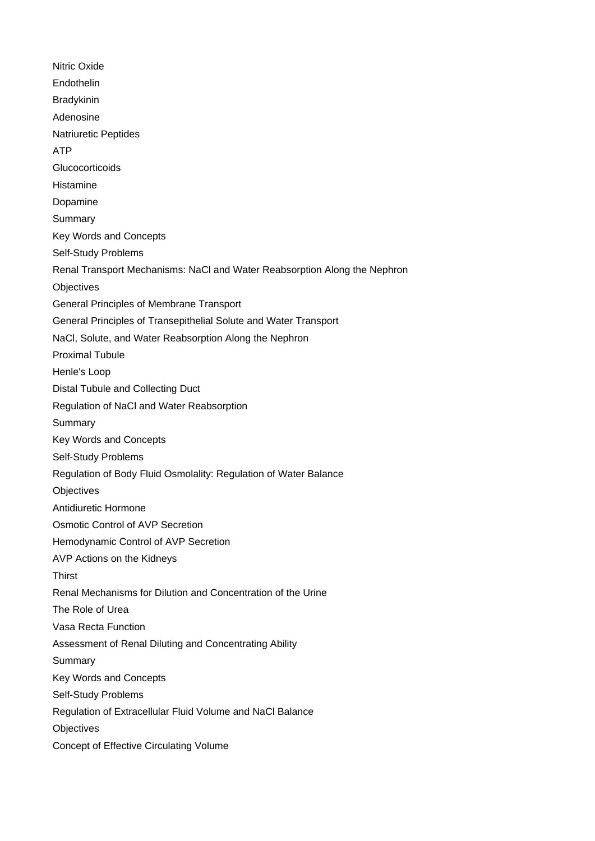Nitric Oxide **Endothelin Bradykinin** Adenosine Natriuretic Peptides ATP **Glucocorticoids** Histamine Dopamine Summary Key Words and Concepts Self-Study Problems Renal Transport Mechanisms: NaCl and Water Reabsorption Along the Nephron **Objectives** General Principles of Membrane Transport General Principles of Transepithelial Solute and Water Transport NaCl, Solute, and Water Reabsorption Along the Nephron Proximal Tubule Henle's Loop Distal Tubule and Collecting Duct Regulation of NaCl and Water Reabsorption Summary Key Words and Concepts Self-Study Problems Regulation of Body Fluid Osmolality: Regulation of Water Balance **Objectives** Antidiuretic Hormone Osmotic Control of AVP Secretion Hemodynamic Control of AVP Secretion AVP Actions on the Kidneys **Thirst** Renal Mechanisms for Dilution and Concentration of the Urine The Role of Urea Vasa Recta Function Assessment of Renal Diluting and Concentrating Ability Summary Key Words and Concepts Self-Study Problems Regulation of Extracellular Fluid Volume and NaCl Balance **Objectives** Concept of Effective Circulating Volume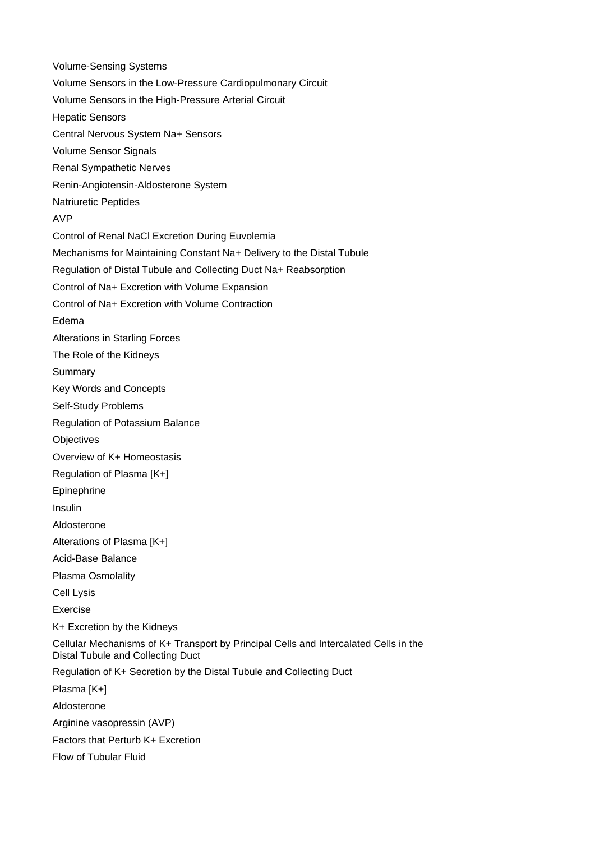Volume-Sensing Systems Volume Sensors in the Low-Pressure Cardiopulmonary Circuit Volume Sensors in the High-Pressure Arterial Circuit Hepatic Sensors Central Nervous System Na+ Sensors Volume Sensor Signals Renal Sympathetic Nerves Renin-Angiotensin-Aldosterone System Natriuretic Peptides AVP Control of Renal NaCl Excretion During Euvolemia Mechanisms for Maintaining Constant Na+ Delivery to the Distal Tubule Regulation of Distal Tubule and Collecting Duct Na+ Reabsorption Control of Na+ Excretion with Volume Expansion Control of Na+ Excretion with Volume Contraction Edema Alterations in Starling Forces The Role of the Kidneys **Summary** Key Words and Concepts Self-Study Problems Regulation of Potassium Balance **Objectives** Overview of K+ Homeostasis Regulation of Plasma [K+] Epinephrine Insulin Aldosterone Alterations of Plasma [K+] Acid-Base Balance Plasma Osmolality Cell Lysis Exercise K+ Excretion by the Kidneys Cellular Mechanisms of K+ Transport by Principal Cells and Intercalated Cells in the Distal Tubule and Collecting Duct Regulation of K+ Secretion by the Distal Tubule and Collecting Duct Plasma [K+] Aldosterone Arginine vasopressin (AVP) Factors that Perturb K+ Excretion Flow of Tubular Fluid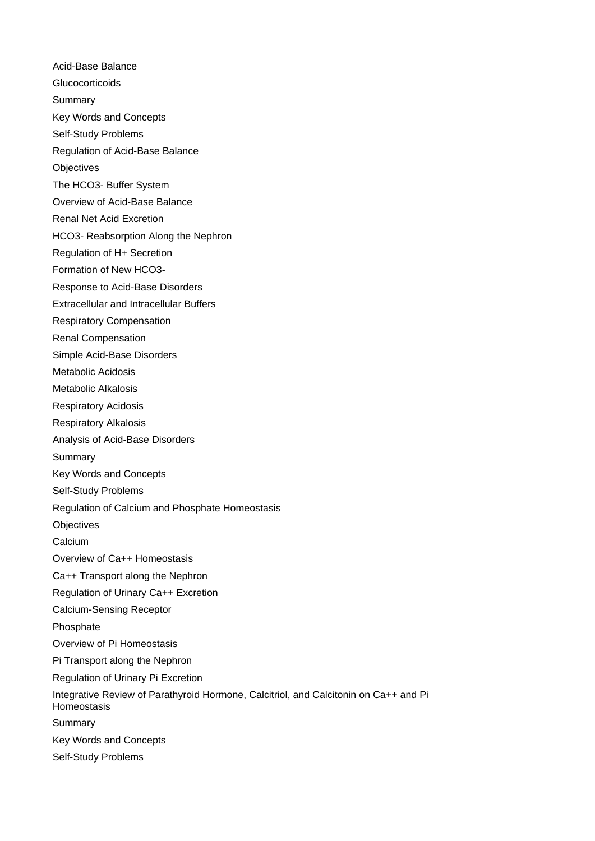Acid-Base Balance **Glucocorticoids Summary** Key Words and Concepts Self-Study Problems Regulation of Acid-Base Balance **Objectives** The HCO3- Buffer System Overview of Acid-Base Balance Renal Net Acid Excretion HCO3- Reabsorption Along the Nephron Regulation of H+ Secretion Formation of New HCO3- Response to Acid-Base Disorders Extracellular and Intracellular Buffers Respiratory Compensation Renal Compensation Simple Acid-Base Disorders Metabolic Acidosis Metabolic Alkalosis Respiratory Acidosis Respiratory Alkalosis Analysis of Acid-Base Disorders Summary Key Words and Concepts Self-Study Problems Regulation of Calcium and Phosphate Homeostasis **Objectives** Calcium Overview of Ca++ Homeostasis Ca++ Transport along the Nephron Regulation of Urinary Ca++ Excretion Calcium-Sensing Receptor Phosphate Overview of Pi Homeostasis Pi Transport along the Nephron Regulation of Urinary Pi Excretion Integrative Review of Parathyroid Hormone, Calcitriol, and Calcitonin on Ca++ and Pi Homeostasis Summary Key Words and Concepts Self-Study Problems